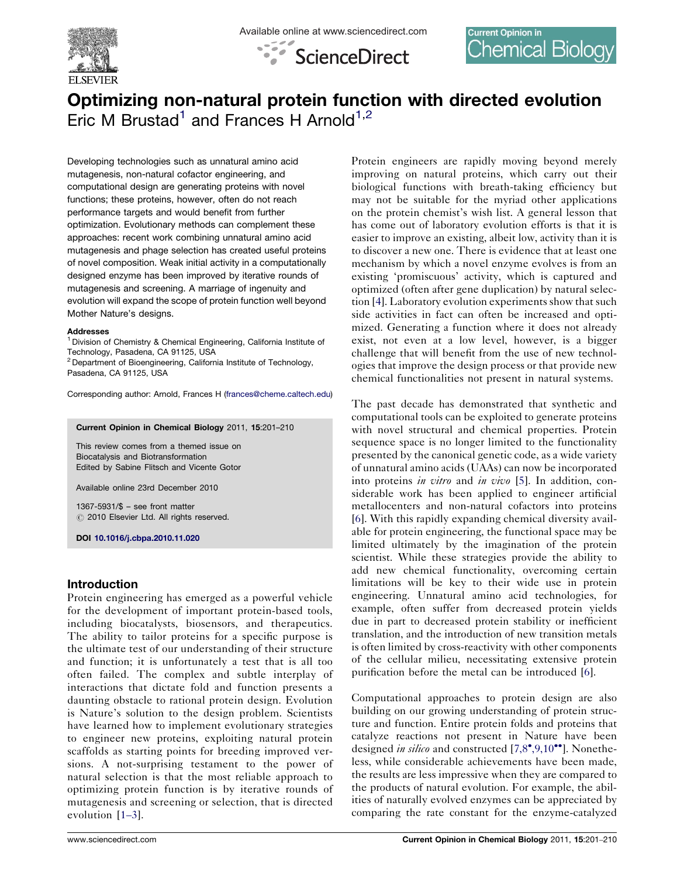





# Optimizing non-natural protein function with directed evolution Eric M Brustad<sup>1</sup> and Frances H Arnold<sup>1,2</sup>

Developing technologies such as unnatural amino acid mutagenesis, non-natural cofactor engineering, and computational design are generating proteins with novel functions; these proteins, however, often do not reach performance targets and would benefit from further optimization. Evolutionary methods can complement these approaches: recent work combining unnatural amino acid mutagenesis and phage selection has created useful proteins of novel composition. Weak initial activity in a computationally designed enzyme has been improved by iterative rounds of mutagenesis and screening. A marriage of ingenuity and evolution will expand the scope of protein function well beyond Mother Nature's designs.

#### **Addresses**

<sup>1</sup> Division of Chemistry & Chemical Engineering, California Institute of Technology, Pasadena, CA 91125, USA

<sup>2</sup> Department of Bioengineering, California Institute of Technology, Pasadena, CA 91125, USA

Corresponding author: Arnold, Frances H ([frances@cheme.caltech.edu](mailto:frances@cheme.caltech.edu))

Current Opinion in Chemical Biology 2011, 15:201–210

This review comes from a themed issue on Biocatalysis and Biotransformation Edited by Sabine Flitsch and Vicente Gotor

Available online 23rd December 2010

1367-5931/\$ – see front matter  $\oslash$  2010 Elsevier Ltd. All rights reserved.

DOI [10.1016/j.cbpa.2010.11.020](http://dx.doi.org/10.1016/j.cbpa.2010.11.020)

#### Introduction

Protein engineering has emerged as a powerful vehicle for the development of important protein-based tools, including biocatalysts, biosensors, and therapeutics. The ability to tailor proteins for a specific purpose is the ultimate test of our understanding of their structure and function; it is unfortunately a test that is all too often failed. The complex and subtle interplay of interactions that dictate fold and function presents a daunting obstacle to rational protein design. Evolution is Nature's solution to the design problem. Scientists have learned how to implement evolutionary strategies to engineer new proteins, exploiting natural protein scaffolds as starting points for breeding improved versions. A not-surprising testament to the power of natural selection is that the most reliable approach to optimizing protein function is by iterative rounds of mutagenesis and screening or selection, that is directed evolution [[1](#page-7-0)–3].

Protein engineers are rapidly moving beyond merely improving on natural proteins, which carry out their biological functions with breath-taking efficiency but may not be suitable for the myriad other applications on the protein chemist's wish list. A general lesson that has come out of laboratory evolution efforts is that it is easier to improve an existing, albeit low, activity than it is to discover a new one. There is evidence that at least one mechanism by which a novel enzyme evolves is from an existing 'promiscuous' activity, which is captured and optimized (often after gene duplication) by natural selection [[4\]](#page-7-0). Laboratory evolution experiments show that such side activities in fact can often be increased and optimized. Generating a function where it does not already exist, not even at a low level, however, is a bigger challenge that will benefit from the use of new technologies that improve the design process or that provide new chemical functionalities not present in natural systems.

The past decade has demonstrated that synthetic and computational tools can be exploited to generate proteins with novel structural and chemical properties. Protein sequence space is no longer limited to the functionality presented by the canonical genetic code, as a wide variety of unnatural amino acids (UAAs) can now be incorporated into proteins *in vitro* and *in vivo* [[5\]](#page-7-0). In addition, considerable work has been applied to engineer artificial metallocenters and non-natural cofactors into proteins [[6](#page-7-0)]. With this rapidly expanding chemical diversity available for protein engineering, the functional space may be limited ultimately by the imagination of the protein scientist. While these strategies provide the ability to add new chemical functionality, overcoming certain limitations will be key to their wide use in protein engineering. Unnatural amino acid technologies, for example, often suffer from decreased protein yields due in part to decreased protein stability or inefficient translation, and the introduction of new transition metals is often limited by cross-reactivity with other components of the cellular milieu, necessitating extensive protein purification before the metal can be introduced [[6\]](#page-7-0).

Computational approaches to protein design are also building on our growing understanding of protein structure and function. Entire protein folds and proteins that catalyze reactions not present in Nature have been designed in silico and constructed  $[7,8^{\bullet},9,10^{\bullet\bullet}]$  $[7,8^{\bullet},9,10^{\bullet\bullet}]$  $[7,8^{\bullet},9,10^{\bullet\bullet}]$  $[7,8^{\bullet},9,10^{\bullet\bullet}]$ . Nonetheless, while considerable achievements have been made, the results are less impressive when they are compared to the products of natural evolution. For example, the abilities of naturally evolved enzymes can be appreciated by comparing the rate constant for the enzyme-catalyzed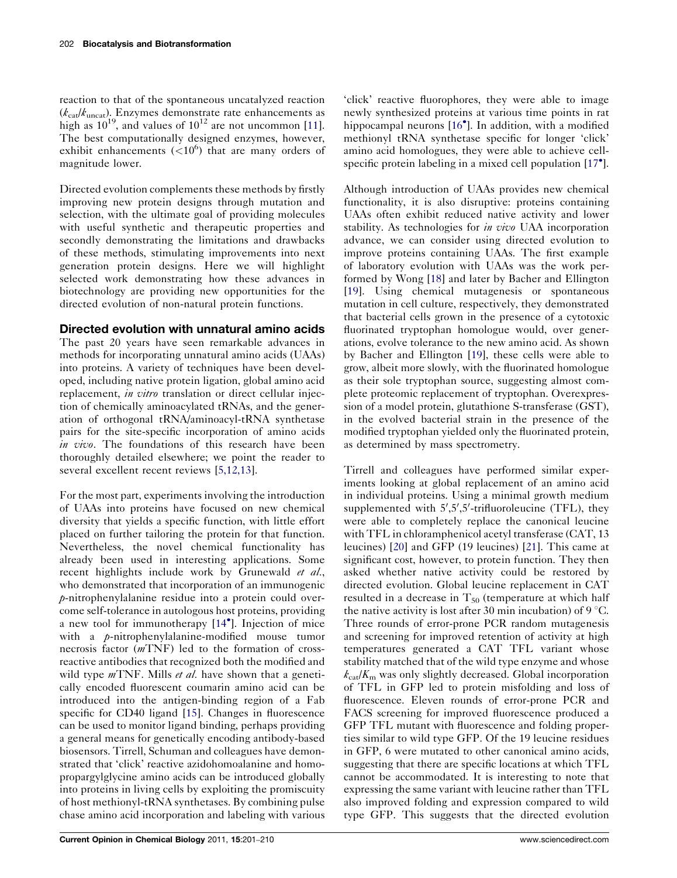reaction to that of the spontaneous uncatalyzed reaction  $(k_{\text{cart}}/k_{\text{uncat}})$ . Enzymes demonstrate rate enhancements as high as  $10^{19}$ , and values of  $10^{12}$  are not uncommon [\[11](#page-8-0)]. The best computationally designed enzymes, however, exhibit enhancements  $(<10^6)$  that are many orders of magnitude lower.

Directed evolution complements these methods by firstly improving new protein designs through mutation and selection, with the ultimate goal of providing molecules with useful synthetic and therapeutic properties and secondly demonstrating the limitations and drawbacks of these methods, stimulating improvements into next generation protein designs. Here we will highlight selected work demonstrating how these advances in biotechnology are providing new opportunities for the directed evolution of non-natural protein functions.

# Directed evolution with unnatural amino acids

The past 20 years have seen remarkable advances in methods for incorporating unnatural amino acids (UAAs) into proteins. A variety of techniques have been developed, including native protein ligation, global amino acid replacement, *in vitro* translation or direct cellular injection of chemically aminoacylated tRNAs, and the generation of orthogonal tRNA/aminoacyl-tRNA synthetase pairs for the site-specific incorporation of amino acids in vivo. The foundations of this research have been thoroughly detailed elsewhere; we point the reader to several excellent recent reviews [[5,12,13](#page-7-0)].

For the most part, experiments involving the introduction of UAAs into proteins have focused on new chemical diversity that yields a specific function, with little effort placed on further tailoring the protein for that function. Nevertheless, the novel chemical functionality has already been used in interesting applications. Some recent highlights include work by Grunewald et al., who demonstrated that incorporation of an immunogenic p-nitrophenylalanine residue into a protein could overcome self-tolerance in autologous host proteins, providing a new tool for immunotherapy [\[14](#page-8-0)<sup>°</sup>]. Injection of mice with a p-nitrophenylalanine-modified mouse tumor necrosis factor (mTNF) led to the formation of crossreactive antibodies that recognized both the modified and wild type  $m$ TNF. Mills *et al*. have shown that a genetically encoded fluorescent coumarin amino acid can be introduced into the antigen-binding region of a Fab specific for CD40 ligand [\[15](#page-8-0)]. Changes in fluorescence can be used to monitor ligand binding, perhaps providing a general means for genetically encoding antibody-based biosensors. Tirrell, Schuman and colleagues have demonstrated that 'click' reactive azidohomoalanine and homopropargylglycine amino acids can be introduced globally into proteins in living cells by exploiting the promiscuity of host methionyl-tRNA synthetases. By combining pulse chase amino acid incorporation and labeling with various

'click' reactive fluorophores, they were able to image newly synthesized proteins at various time points in rat hippocampal neurons [[16](#page-8-0)<sup>°</sup>]. In addition, with a modified methionyl tRNA synthetase specific for longer 'click' amino acid homologues, they were able to achieve cell-specific protein labeling in a mixed cell population [[17](#page-8-0)<sup>°</sup>].

Although introduction of UAAs provides new chemical functionality, it is also disruptive: proteins containing UAAs often exhibit reduced native activity and lower stability. As technologies for *in vivo* UAA incorporation advance, we can consider using directed evolution to improve proteins containing UAAs. The first example of laboratory evolution with UAAs was the work performed by Wong [[18\]](#page-8-0) and later by Bacher and Ellington [\[19](#page-8-0)]. Using chemical mutagenesis or spontaneous mutation in cell culture, respectively, they demonstrated that bacterial cells grown in the presence of a cytotoxic fluorinated tryptophan homologue would, over generations, evolve tolerance to the new amino acid. As shown by Bacher and Ellington [[19](#page-8-0)], these cells were able to grow, albeit more slowly, with the fluorinated homologue as their sole tryptophan source, suggesting almost complete proteomic replacement of tryptophan. Overexpression of a model protein, glutathione S-transferase (GST), in the evolved bacterial strain in the presence of the modified tryptophan yielded only the fluorinated protein, as determined by mass spectrometry.

Tirrell and colleagues have performed similar experiments looking at global replacement of an amino acid in individual proteins. Using a minimal growth medium supplemented with 5',5',5'-trifluoroleucine (TFL), they were able to completely replace the canonical leucine with TFL in chloramphenicol acetyl transferase (CAT, 13) leucines) [[20\]](#page-8-0) and GFP (19 leucines) [\[21\]](#page-8-0). This came at significant cost, however, to protein function. They then asked whether native activity could be restored by directed evolution. Global leucine replacement in CAT resulted in a decrease in  $T_{50}$  (temperature at which half the native activity is lost after 30 min incubation) of 9  $\degree$ C. Three rounds of error-prone PCR random mutagenesis and screening for improved retention of activity at high temperatures generated a CAT TFL variant whose stability matched that of the wild type enzyme and whose  $k_{\text{cat}}/K_{\text{m}}$  was only slightly decreased. Global incorporation of TFL in GFP led to protein misfolding and loss of fluorescence. Eleven rounds of error-prone PCR and FACS screening for improved fluorescence produced a GFP TFL mutant with fluorescence and folding properties similar to wild type GFP. Of the 19 leucine residues in GFP, 6 were mutated to other canonical amino acids, suggesting that there are specific locations at which TFL cannot be accommodated. It is interesting to note that expressing the same variant with leucine rather than TFL also improved folding and expression compared to wild type GFP. This suggests that the directed evolution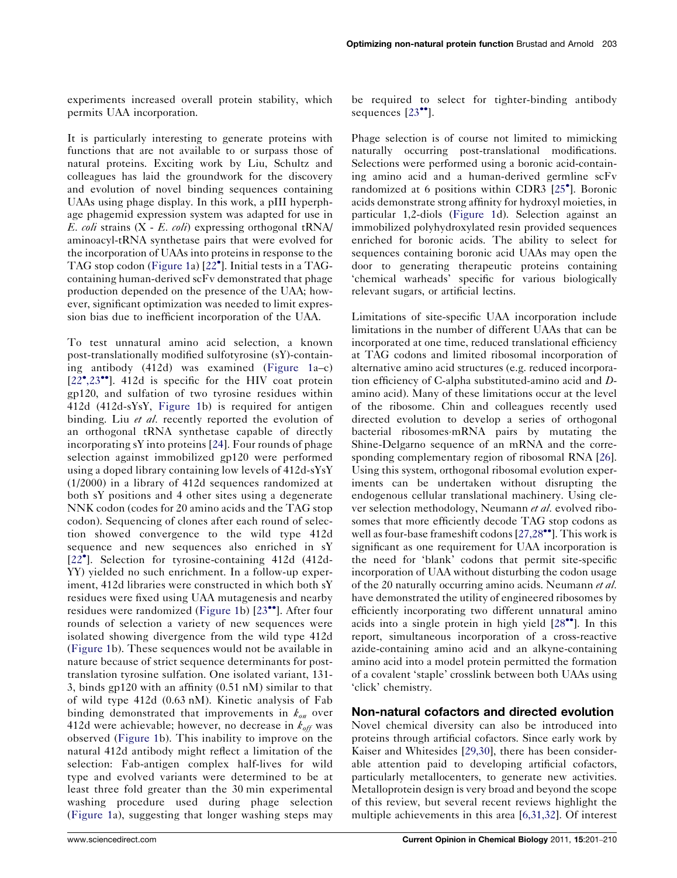experiments increased overall protein stability, which permits UAA incorporation.

It is particularly interesting to generate proteins with functions that are not available to or surpass those of natural proteins. Exciting work by Liu, Schultz and colleagues has laid the groundwork for the discovery and evolution of novel binding sequences containing UAAs using phage display. In this work, a pIII hyperphage phagemid expression system was adapted for use in E. coli strains  $(X - E \cdot \text{col})$  expressing orthogonal tRNA aminoacyl-tRNA synthetase pairs that were evolved for the incorporation of UAAs into proteins in response to the TAG stop codon ([Figure 1a](#page-3-0)) [\[22](#page-8-0)<sup>°</sup>]. Initial tests in a TAGcontaining human-derived scFv demonstrated that phage production depended on the presence of the UAA; however, significant optimization was needed to limit expression bias due to inefficient incorporation of the UAA.

To test unnatural amino acid selection, a known post-translationally modified sulfotyrosine (sY)-containing antibody (412d) was examined ([Figure 1a](#page-3-0)–c)  $[22^{\bullet}, 23^{\bullet\bullet}]$  $[22^{\bullet}, 23^{\bullet\bullet}]$ . 412d is specific for the HIV coat protein gp120, and sulfation of two tyrosine residues within 412d (412d-sYsY, [Figure 1b](#page-3-0)) is required for antigen binding. Liu et al. recently reported the evolution of an orthogonal tRNA synthetase capable of directly incorporating sY into proteins [\[24](#page-8-0)]. Four rounds of phage selection against immobilized gp120 were performed using a doped library containing low levels of 412d-sYsY (1/2000) in a library of 412d sequences randomized at both sY positions and 4 other sites using a degenerate NNK codon (codes for 20 amino acids and the TAG stop codon). Sequencing of clones after each round of selection showed convergence to the wild type 412d sequence and new sequences also enriched in sY [\[22](#page-8-0)<sup>°</sup>]. Selection for tyrosine-containing 412d (412d-YY) yielded no such enrichment. In a follow-up experiment, 412d libraries were constructed in which both sY residues were fixed using UAA mutagenesis and nearby residues were randomized [\(Figure 1](#page-3-0)b) [\[23](#page-8-0)<sup>••</sup>]. After four rounds of selection a variety of new sequences were isolated showing divergence from the wild type 412d [\(Figure 1b](#page-3-0)). These sequences would not be available in nature because of strict sequence determinants for posttranslation tyrosine sulfation. One isolated variant, 131- 3, binds gp120 with an affinity (0.51 nM) similar to that of wild type 412d (0.63 nM). Kinetic analysis of Fab binding demonstrated that improvements in  $k_{on}$  over 412d were achievable; however, no decrease in  $k_{off}$  was observed ([Figure 1](#page-3-0)b). This inability to improve on the natural 412d antibody might reflect a limitation of the selection: Fab-antigen complex half-lives for wild type and evolved variants were determined to be at least three fold greater than the 30 min experimental washing procedure used during phage selection [\(Figure 1](#page-3-0)a), suggesting that longer washing steps may be required to select for tighter-binding antibody sequences [[23](#page-8-0)<sup>••</sup>].

Phage selection is of course not limited to mimicking naturally occurring post-translational modifications. Selections were performed using a boronic acid-containing amino acid and a human-derived germline scFv randomized at 6 positions within CDR3 [[25](#page-8-0)<sup>°</sup>]. Boronic acids demonstrate strong affinity for hydroxyl moieties, in particular 1,2-diols ([Figure 1](#page-3-0)d). Selection against an immobilized polyhydroxylated resin provided sequences enriched for boronic acids. The ability to select for sequences containing boronic acid UAAs may open the door to generating therapeutic proteins containing 'chemical warheads' specific for various biologically relevant sugars, or artificial lectins.

Limitations of site-specific UAA incorporation include limitations in the number of different UAAs that can be incorporated at one time, reduced translational efficiency at TAG codons and limited ribosomal incorporation of alternative amino acid structures (e.g. reduced incorporation efficiency of C-alpha substituted-amino acid and Damino acid). Many of these limitations occur at the level of the ribosome. Chin and colleagues recently used directed evolution to develop a series of orthogonal bacterial ribosomes.mRNA pairs by mutating the Shine-Delgarno sequence of an mRNA and the corresponding complementary region of ribosomal RNA [[26\]](#page-8-0). Using this system, orthogonal ribosomal evolution experiments can be undertaken without disrupting the endogenous cellular translational machinery. Using clever selection methodology, Neumann et al. evolved ribosomes that more efficiently decode TAG stop codons as well as four-base frameshift codons  $[27,28^{\bullet\bullet}]$  $[27,28^{\bullet\bullet}]$ . This work is significant as one requirement for UAA incorporation is the need for 'blank' codons that permit site-specific incorporation of UAA without disturbing the codon usage of the 20 naturally occurring amino acids. Neumann *et al.* have demonstrated the utility of engineered ribosomes by efficiently incorporating two different unnatural amino acids into a single protein in high yield [[28](#page-8-0)<sup>\*</sup>]. In this report, simultaneous incorporation of a cross-reactive azide-containing amino acid and an alkyne-containing amino acid into a model protein permitted the formation of a covalent 'staple' crosslink between both UAAs using 'click' chemistry.

### Non-natural cofactors and directed evolution

Novel chemical diversity can also be introduced into proteins through artificial cofactors. Since early work by Kaiser and Whitesides [[29,30](#page-8-0)], there has been considerable attention paid to developing artificial cofactors, particularly metallocenters, to generate new activities. Metalloprotein design is very broad and beyond the scope of this review, but several recent reviews highlight the multiple achievements in this area [[6,31,32\]](#page-7-0). Of interest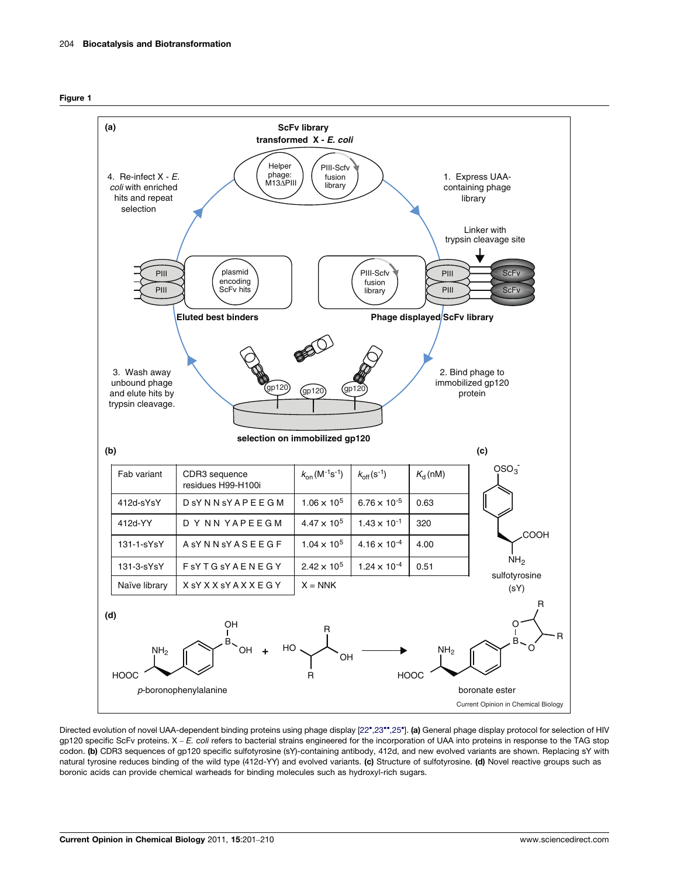<span id="page-3-0"></span>



Directed evolution of novel UAA-dependent binding proteins using phage display [[22](#page-8-0)\*[,23](#page-8-0)\*\*[,25](#page-8-0)\*]. (a) General phage display protocol for selection of HIV gp120 specific ScFv proteins. X - E. coli refers to bacterial strains engineered for the incorporation of UAA into proteins in response to the TAG stop codon. (b) CDR3 sequences of gp120 specific sulfotyrosine (sY)-containing antibody, 412d, and new evolved variants are shown. Replacing sY with natural tyrosine reduces binding of the wild type (412d-YY) and evolved variants. (c) Structure of sulfotyrosine. (d) Novel reactive groups such as boronic acids can provide chemical warheads for binding molecules such as hydroxyl-rich sugars.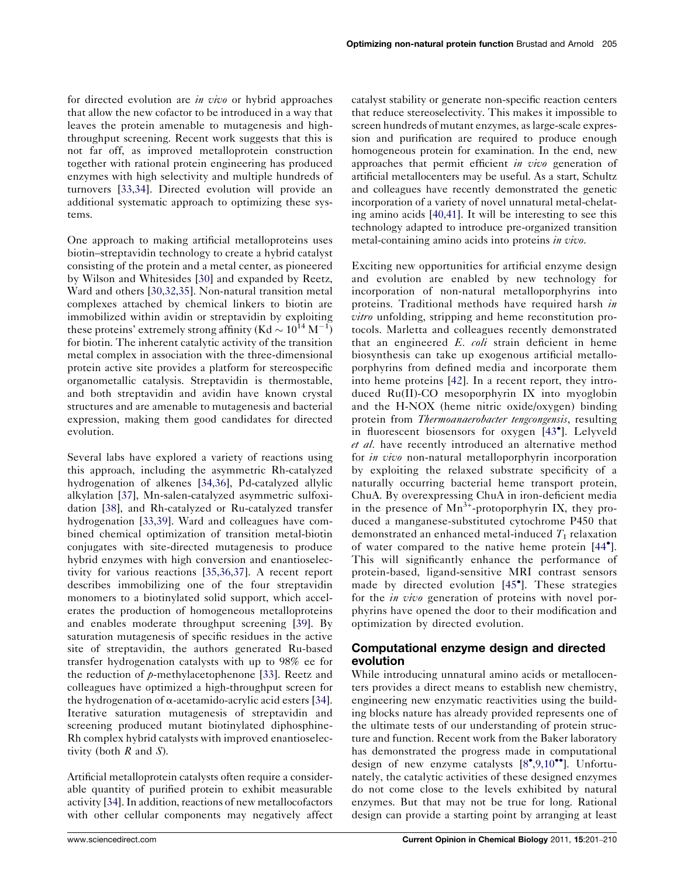for directed evolution are *in vivo* or hybrid approaches that allow the new cofactor to be introduced in a way that leaves the protein amenable to mutagenesis and highthroughput screening. Recent work suggests that this is not far off, as improved metalloprotein construction together with rational protein engineering has produced enzymes with high selectivity and multiple hundreds of turnovers [[33,34](#page-8-0)]. Directed evolution will provide an additional systematic approach to optimizing these systems.

One approach to making artificial metalloproteins uses biotin–streptavidin technology to create a hybrid catalyst consisting of the protein and a metal center, as pioneered by Wilson and Whitesides [[30\]](#page-8-0) and expanded by Reetz, Ward and others [[30,32,35\]](#page-8-0). Non-natural transition metal complexes attached by chemical linkers to biotin are immobilized within avidin or streptavidin by exploiting these proteins' extremely strong affinity (Kd  $\sim 10^{14} \,\mathrm{M}^{-1}$ ) for biotin. The inherent catalytic activity of the transition metal complex in association with the three-dimensional protein active site provides a platform for stereospecific organometallic catalysis. Streptavidin is thermostable, and both streptavidin and avidin have known crystal structures and are amenable to mutagenesis and bacterial expression, making them good candidates for directed evolution.

Several labs have explored a variety of reactions using this approach, including the asymmetric Rh-catalyzed hydrogenation of alkenes [\[34,36\]](#page-8-0), Pd-catalyzed allylic alkylation [\[37\]](#page-8-0), Mn-salen-catalyzed asymmetric sulfoxidation [\[38](#page-8-0)], and Rh-catalyzed or Ru-catalyzed transfer hydrogenation [\[33,39\]](#page-8-0). Ward and colleagues have combined chemical optimization of transition metal-biotin conjugates with site-directed mutagenesis to produce hybrid enzymes with high conversion and enantioselectivity for various reactions [\[35,36,37](#page-8-0)]. A recent report describes immobilizing one of the four streptavidin monomers to a biotinylated solid support, which accelerates the production of homogeneous metalloproteins and enables moderate throughput screening [\[39](#page-8-0)]. By saturation mutagenesis of specific residues in the active site of streptavidin, the authors generated Ru-based transfer hydrogenation catalysts with up to 98% ee for the reduction of p-methylacetophenone [\[33](#page-8-0)]. Reetz and colleagues have optimized a high-throughput screen for the hydrogenation of  $\alpha$ -acetamido-acrylic acid esters [\[34](#page-8-0)]. Iterative saturation mutagenesis of streptavidin and screening produced mutant biotinylated diphosphine-Rh complex hybrid catalysts with improved enantioselectivity (both  $R$  and  $S$ ).

Artificial metalloprotein catalysts often require a considerable quantity of purified protein to exhibit measurable activity [[34\]](#page-8-0). In addition, reactions of new metallocofactors with other cellular components may negatively affect catalyst stability or generate non-specific reaction centers that reduce stereoselectivity. This makes it impossible to screen hundreds of mutant enzymes, as large-scale expression and purification are required to produce enough homogeneous protein for examination. In the end, new approaches that permit efficient *in vivo* generation of artificial metallocenters may be useful. As a start, Schultz and colleagues have recently demonstrated the genetic incorporation of a variety of novel unnatural metal-chelating amino acids [[40,41\]](#page-8-0). It will be interesting to see this technology adapted to introduce pre-organized transition metal-containing amino acids into proteins in vivo.

Exciting new opportunities for artificial enzyme design and evolution are enabled by new technology for incorporation of non-natural metalloporphyrins into proteins. Traditional methods have required harsh in vitro unfolding, stripping and heme reconstitution protocols. Marletta and colleagues recently demonstrated that an engineered E. coli strain deficient in heme biosynthesis can take up exogenous artificial metalloporphyrins from defined media and incorporate them into heme proteins [\[42\]](#page-9-0). In a recent report, they introduced Ru(II)-CO mesoporphyrin IX into myoglobin and the H-NOX (heme nitric oxide/oxygen) binding protein from Thermoanaerobacter tengcongensis, resulting in fluorescent biosensors for oxygen [[43](#page-9-0)°]. Lelyveld et al. have recently introduced an alternative method for *in vivo* non-natural metalloporphyrin incorporation by exploiting the relaxed substrate specificity of a naturally occurring bacterial heme transport protein, ChuA. By overexpressing ChuA in iron-deficient media in the presence of  $Mn^{3+}$ -protoporphyrin IX, they produced a manganese-substituted cytochrome P450 that demonstrated an enhanced metal-induced  $T_1$  relaxation of water compared to the native heme protein [[44](#page-9-0)°]. This will significantly enhance the performance of protein-based, ligand-sensitive MRI contrast sensors made by directed evolution [[45](#page-9-0)- ]. These strategies for the *in vivo* generation of proteins with novel porphyrins have opened the door to their modification and optimization by directed evolution.

# Computational enzyme design and directed evolution

While introducing unnatural amino acids or metallocenters provides a direct means to establish new chemistry, engineering new enzymatic reactivities using the building blocks nature has already provided represents one of the ultimate tests of our understanding of protein structure and function. Recent work from the Baker laboratory has demonstrated the progress made in computational design of new enzyme catalysts [\[8](#page-7-0)°[,9,10](#page-7-0)°°]. Unfortunately, the catalytic activities of these designed enzymes do not come close to the levels exhibited by natural enzymes. But that may not be true for long. Rational design can provide a starting point by arranging at least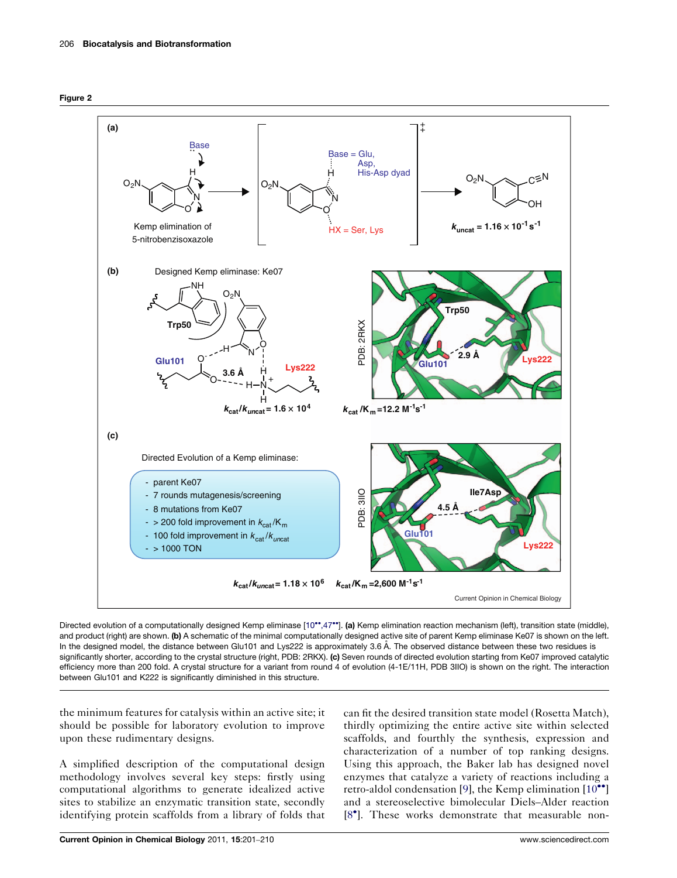<span id="page-5-0"></span>



Directed evolution of a computationally designed Kemp eliminase [[10](#page-7-0)\*[,47](#page-7-0)\*]. (a) Kemp elimination reaction mechanism (left), transition state (middle), and product (right) are shown. (b) A schematic of the minimal computationally designed active site of parent Kemp eliminase Ke07 is shown on the left. In the designed model, the distance between Glu101 and Lys222 is approximately 3.6 Å. The observed distance between these two residues is significantly shorter, according to the crystal structure (right, PDB: 2RKX). (c) Seven rounds of directed evolution starting from Ke07 improved catalytic efficiency more than 200 fold. A crystal structure for a variant from round 4 of evolution (4-1E/11H, PDB 3IIO) is shown on the right. The interaction between Glu101 and K222 is significantly diminished in this structure.

the minimum features for catalysis within an active site; it should be possible for laboratory evolution to improve upon these rudimentary designs.

A simplified description of the computational design methodology involves several key steps: firstly using computational algorithms to generate idealized active sites to stabilize an enzymatic transition state, secondly identifying protein scaffolds from a library of folds that

can fit the desired transition state model (Rosetta Match), thirdly optimizing the entire active site within selected scaffolds, and fourthly the synthesis, expression and characterization of a number of top ranking designs. Using this approach, the Baker lab has designed novel enzymes that catalyze a variety of reactions including a retro-aldol condensation [[9\]](#page-7-0), the Kemp elimination [[10](#page-7-0)<sup>oo</sup>] and a stereoselective bimolecular Diels–Alder reaction [\[8](#page-7-0)<sup>°</sup>]. These works demonstrate that measurable non-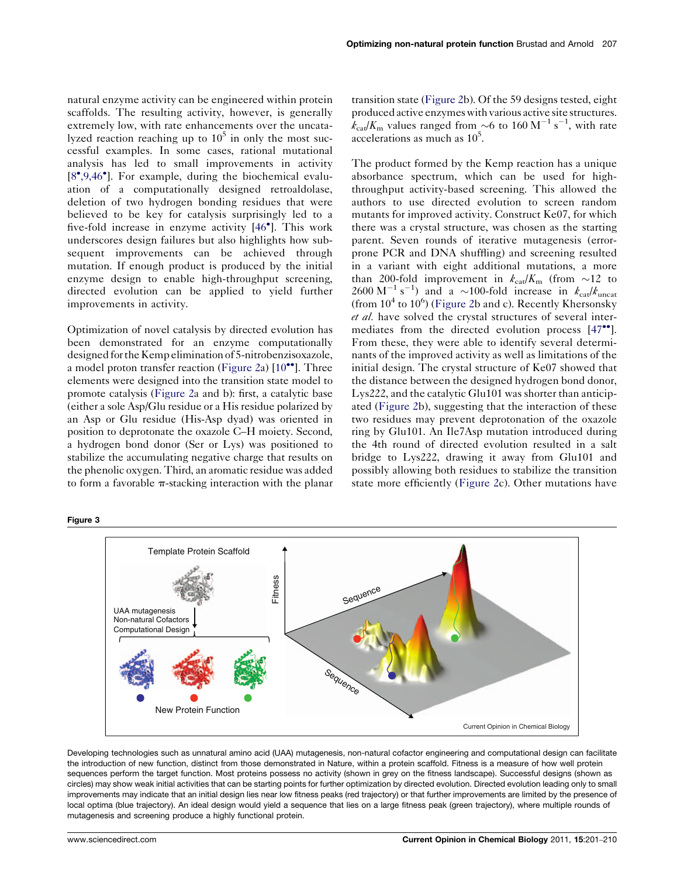<span id="page-6-0"></span>natural enzyme activity can be engineered within protein scaffolds. The resulting activity, however, is generally extremely low, with rate enhancements over the uncatalyzed reaction reaching up to  $10^5$  in only the most successful examples. In some cases, rational mutational analysis has led to small improvements in activity [\[8](#page-7-0)°[,9,46](#page-7-0)°]. For example, during the biochemical evaluation of a computationally designed retroaldolase, deletion of two hydrogen bonding residues that were believed to be key for catalysis surprisingly led to a five-fold increase in enzyme activity [[46](#page-9-0)<sup>°</sup>]. This work underscores design failures but also highlights how subsequent improvements can be achieved through mutation. If enough product is produced by the initial enzyme design to enable high-throughput screening, directed evolution can be applied to yield further improvements in activity.

Optimization of novel catalysis by directed evolution has been demonstrated for an enzyme computationally designed for the Kemp elimination of 5-nitrobenzisoxazole, a model proton transfer reaction [\(Figure 2a](#page-5-0)) [\[10](#page-7-0)<sup>••</sup>]. Three elements were designed into the transition state model to promote catalysis ([Figure 2a](#page-5-0) and b): first, a catalytic base (either a sole Asp/Glu residue or a His residue polarized by an Asp or Glu residue (His-Asp dyad) was oriented in position to deprotonate the oxazole C–H moiety. Second, a hydrogen bond donor (Ser or Lys) was positioned to stabilize the accumulating negative charge that results on the phenolic oxygen. Third, an aromatic residue was added to form a favorable  $\pi$ -stacking interaction with the planar

| ı<br>ш<br><br>٦ |  |
|-----------------|--|
|-----------------|--|

transition state [\(Figure 2](#page-5-0)b). Of the 59 designs tested, eight produced active enzymes with various active site structures.  $k_{\text{cat}}/K_{\text{m}}$  values ranged from  $\sim$  6 to 160 M<sup>-1</sup> s<sup>-1</sup>, with rate accelerations as much as  $10^5$ .

The product formed by the Kemp reaction has a unique absorbance spectrum, which can be used for highthroughput activity-based screening. This allowed the authors to use directed evolution to screen random mutants for improved activity. Construct Ke07, for which there was a crystal structure, was chosen as the starting parent. Seven rounds of iterative mutagenesis (errorprone PCR and DNA shuffling) and screening resulted in a variant with eight additional mutations, a more than 200-fold improvement in  $k_{\text{cat}}/K_{\text{m}}$  (from  $\sim$ 12 to 2600 M<sup>-1</sup> s<sup>-1</sup>) and a ~100-fold increase in  $k_{\text{cat}}/k_{\text{uncat}}$  $(from 10<sup>4</sup> to 10<sup>6</sup>)$  ([Figure 2](#page-5-0)b and c). Recently Khersonsky et al. have solved the crystal structures of several inter-mediates from the directed evolution process [\[47](#page-9-0)<sup>••</sup>]. From these, they were able to identify several determinants of the improved activity as well as limitations of the initial design. The crystal structure of Ke07 showed that the distance between the designed hydrogen bond donor, Lys222, and the catalytic Glu101 was shorter than anticipated ([Figure 2b](#page-5-0)), suggesting that the interaction of these two residues may prevent deprotonation of the oxazole ring by Glu101. An Ile7Asp mutation introduced during the 4th round of directed evolution resulted in a salt bridge to Lys222, drawing it away from Glu101 and possibly allowing both residues to stabilize the transition state more efficiently [\(Figure 2c](#page-5-0)). Other mutations have



Developing technologies such as unnatural amino acid (UAA) mutagenesis, non-natural cofactor engineering and computational design can facilitate the introduction of new function, distinct from those demonstrated in Nature, within a protein scaffold. Fitness is a measure of how well protein sequences perform the target function. Most proteins possess no activity (shown in grey on the fitness landscape). Successful designs (shown as circles) may show weak initial activities that can be starting points for further optimization by directed evolution. Directed evolution leading only to small improvements may indicate that an initial design lies near low fitness peaks (red trajectory) or that further improvements are limited by the presence of local optima (blue trajectory). An ideal design would yield a sequence that lies on a large fitness peak (green trajectory), where multiple rounds of mutagenesis and screening produce a highly functional protein.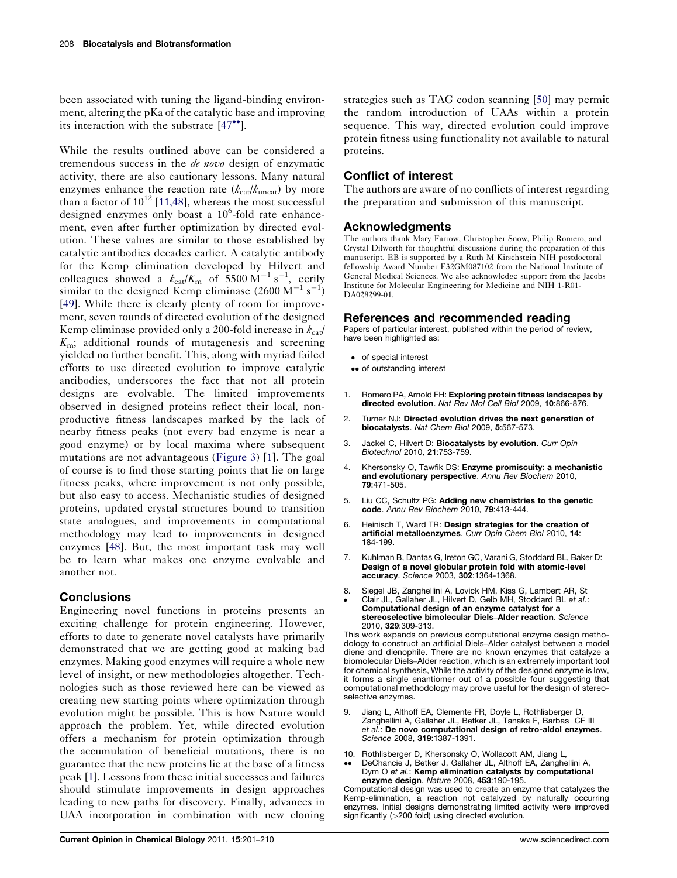<span id="page-7-0"></span>been associated with tuning the ligand-binding environment, altering the pKa of the catalytic base and improving its interaction with the substrate  $[47$ <sup>\*\*</sup>].

While the results outlined above can be considered a tremendous success in the de novo design of enzymatic activity, there are also cautionary lessons. Many natural enzymes enhance the reaction rate  $(k_{cat}/k_{uncat})$  by more than a factor of  $10^{12}$  [[11,48](#page-8-0)], whereas the most successful designed enzymes only boast a 10<sup>6</sup>-fold rate enhancement, even after further optimization by directed evolution. These values are similar to those established by catalytic antibodies decades earlier. A catalytic antibody for the Kemp elimination developed by Hilvert and colleagues showed a  $k_{\text{cat}}/K_{\text{m}}$  of 5500 M<sup>-1</sup> s<sup>-1</sup>, eerily similar to the designed Kemp eliminase  $(2600 M^{-1} s^{-1})$ [\[49](#page-9-0)]. While there is clearly plenty of room for improvement, seven rounds of directed evolution of the designed Kemp eliminase provided only a 200-fold increase in  $k_{\text{car}}/$  $K<sub>m</sub>$ ; additional rounds of mutagenesis and screening yielded no further benefit. This, along with myriad failed efforts to use directed evolution to improve catalytic antibodies, underscores the fact that not all protein designs are evolvable. The limited improvements observed in designed proteins reflect their local, nonproductive fitness landscapes marked by the lack of nearby fitness peaks (not every bad enzyme is near a good enzyme) or by local maxima where subsequent mutations are not advantageous [\(Figure 3\)](#page-6-0) [1]. The goal of course is to find those starting points that lie on large fitness peaks, where improvement is not only possible, but also easy to access. Mechanistic studies of designed proteins, updated crystal structures bound to transition state analogues, and improvements in computational methodology may lead to improvements in designed enzymes [[48\]](#page-9-0). But, the most important task may well be to learn what makes one enzyme evolvable and another not.

## **Conclusions**

Engineering novel functions in proteins presents an exciting challenge for protein engineering. However, efforts to date to generate novel catalysts have primarily demonstrated that we are getting good at making bad enzymes. Making good enzymes will require a whole new level of insight, or new methodologies altogether. Technologies such as those reviewed here can be viewed as creating new starting points where optimization through evolution might be possible. This is how Nature would approach the problem. Yet, while directed evolution offers a mechanism for protein optimization through the accumulation of beneficial mutations, there is no guarantee that the new proteins lie at the base of a fitness peak [1]. Lessons from these initial successes and failures should stimulate improvements in design approaches leading to new paths for discovery. Finally, advances in UAA incorporation in combination with new cloning strategies such as TAG codon scanning [[50\]](#page-9-0) may permit the random introduction of UAAs within a protein sequence. This way, directed evolution could improve protein fitness using functionality not available to natural proteins.

### Conflict of interest

The authors are aware of no conflicts of interest regarding the preparation and submission of this manuscript.

#### Acknowledgments

The authors thank Mary Farrow, Christopher Snow, Philip Romero, and Crystal Dilworth for thoughtful discussions during the preparation of this manuscript. EB is supported by a Ruth M Kirschstein NIH postdoctoral fellowship Award Number F32GM087102 from the National Institute of General Medical Sciences. We also acknowledge support from the Jacobs Institute for Molecular Engineering for Medicine and NIH 1-R01- DA028299-01.

#### References and recommended reading

Papers of particular interest, published within the period of review, have been highlighted as:

- of special interest
- •• of outstanding interest
- 1. Romero PA, Arnold FH: Exploring protein fitness landscapes by directed evolution. Nat Rev Mol Cell Biol 2009, 10:866-876.
- 2. Turner NJ: Directed evolution drives the next generation of biocatalysts. Nat Chem Biol 2009, 5:567-573.
- 3. Jackel C, Hilvert D: Biocatalysts by evolution. Curr Opin Biotechnol 2010, 21:753-759.
- 4. Khersonsky O, Tawfik DS: Enzyme promiscuity: a mechanistic and evolutionary perspective. Annu Rev Biochem 2010, 79:471-505.
- Liu CC, Schultz PG: Adding new chemistries to the genetic code. Annu Rev Biochem 2010, 79:413-444.
- 6. Heinisch T, Ward TR: Design strategies for the creation of artificial metalloenzymes. Curr Opin Chem Biol 2010, 14: 184-199.
- 7. Kuhlman B, Dantas G, Ireton GC, Varani G, Stoddard BL, Baker D: Design of a novel globular protein fold with atomic-level accuracy. Science 2003, 302:1364-1368.
- 8. Siegel JB, Zanghellini A, Lovick HM, Kiss G, Lambert AR, St
- -Clair JL, Gallaher JL, Hilvert D, Gelb MH, Stoddard BL et al.: Computational design of an enzyme catalyst for a
- stereoselective bimolecular Diels–Alder reaction. Science 2010, 329:309-313.

This work expands on previous computational enzyme design methodology to construct an artificial Diels–Alder catalyst between a model diene and dienophile. There are no known enzymes that catalyze a biomolecular Diels–Alder reaction, which is an extremely important tool for chemical synthesis, While the activity of the designed enzyme is low, it forms a single enantiomer out of a possible four suggesting that computational methodology may prove useful for the design of stereoselective enzymes.

- 9. Jiang L, Althoff EA, Clemente FR, Doyle L, Rothlisberger D, Zanghellini A, Gallaher JL, Betker JL, Tanaka F, Barbas CF III et al.: De novo computational design of retro-aldol enzymes. Science 2008, 319:1387-1391.
- 10. Rothlisberger D, Khersonsky O, Wollacott AM, Jiang L,
- --DeChancie J, Betker J, Gallaher JL, Althoff EA, Zanghellini A, Dym O et al.: Kemp elimination catalysts by computational enzyme design. Nature 2008, 453:190-195.

Computational design was used to create an enzyme that catalyzes the Kemp-elimination, a reaction not catalyzed by naturally occurring enzymes. Initial designs demonstrating limited activity were improved significantly (>200 fold) using directed evolution.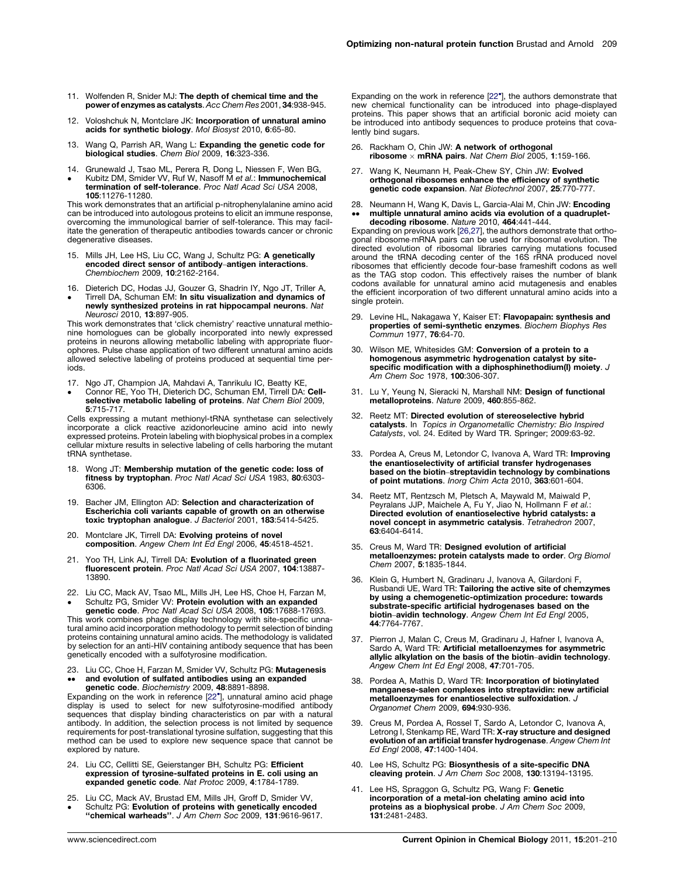- <span id="page-8-0"></span>11. Wolfenden R, Snider MJ: The depth of chemical time and the power of enzymes as catalysts. Acc Chem Res 2001, 34:938-945.
- 12. Voloshchuk N, Montclare JK: Incorporation of unnatural amino acids for synthetic biology. Mol Biosyst 2010, 6:65-80.
- 13. Wang Q, Parrish AR, Wang L: Expanding the genetic code for biological studies. Chem Biol 2009, 16:323-336.
- 14. Grunewald J, Tsao ML, Perera R, Dong L, Niessen F, Wen BG,<br>Kubitz DM, Smider VV, Ruf W, Nasoff M e*t al.*: **Immunochemical**
- $\bullet$ termination of self-tolerance. Proc Natl Acad Sci USA 2008, 105:11276-11280.

This work demonstrates that an artificial p-nitrophenylalanine amino acid can be introduced into autologous proteins to elicit an immune response, overcoming the immunological barrier of self-tolerance. This may facilitate the generation of therapeutic antibodies towards cancer or chronic degenerative diseases.

- 15. Mills JH, Lee HS, Liu CC, Wang J, Schultz PG: A genetically encoded direct sensor of antibody–antigen interactions. Chembiochem 2009, 10:2162-2164.
- 16. Dieterich DC, Hodas JJ, Gouzer G, Shadrin IY, Ngo JT, Triller A,
- $\bullet$ Tirrell DA, Schuman EM: In situ visualization and dynamics of newly synthesized proteins in rat hippocampal neurons. Nat Neurosci 2010, 13:897-905.

This work demonstrates that 'click chemistry' reactive unnatural methionine homologues can be globally incorporated into newly expressed proteins in neurons allowing metabollic labeling with appropriate fluorophores. Pulse chase application of two different unnatural amino acids allowed selective labeling of proteins produced at sequential time periods.

17.

17. Ngo JT, Champion JA, Mahdavi A, Tanrikulu IC, Beatty KE,<br>• Connor RE, Yoo TH, Dieterich DC, Schuman EM, Tirrell DA: Cellselective metabolic labeling of proteins. Nat Chem Biol 2009, 5:715-717.

Cells expressing a mutant methionyl-tRNA synthetase can selectively incorporate a click reactive azidonorleucine amino acid into newly expressed proteins. Protein labeling with biophysical probes in a complex cellular mixture results in selective labeling of cells harboring the mutant tRNA synthetase.

- 18. Wong JT: Membership mutation of the genetic code: loss of fitness by tryptophan. Proc Natl Acad Sci USA 1983, 80:6303-6306.
- 19. Bacher JM, Ellington AD: Selection and characterization of Escherichia coli variants capable of growth on an otherwise toxic tryptophan analogue. J Bacteriol 2001, 183:5414-5425.
- 20. Montclare JK, Tirrell DA: Evolving proteins of novel composition. Angew Chem Int Ed Engl 2006, 45:4518-4521.
- 21. Yoo TH, Link AJ, Tirrell DA: Evolution of a fluorinated green fluorescent protein. Proc Natl Acad Sci USA 2007, 104:13887- 13890.
- 22. Liu CC, Mack AV, Tsao ML, Mills JH, Lee HS, Choe H, Farzan M,  $\bullet$ Schultz PG, Smider VV: Protein evolution with an expanded

genetic code. Proc Natl Acad Sci USA 2008, 105:17688-17693. This work combines phage display technology with site-specific unnatural amino acid incorporation methodology to permit selection of binding proteins containing unnatural amino acids. The methodology is validated by selection for an anti-HIV containing antibody sequence that has been genetically encoded with a sulfotyrosine modification.

#### 23. Liu CC, Choe H, Farzan M, Smider VV, Schultz PG: Mutagenesis  $\bullet \bullet$ and evolution of sulfated antibodies using an expanded genetic code. Biochemistry 2009, 48:8891-8898.

Expanding on the work in reference [22<sup>\*</sup>], unnatural amino acid phage<br>display is used to select for new sulfotyrosine-modified antibody sequences that display binding characteristics on par with a natural antibody. In addition, the selection process is not limited by sequence requirements for post-translational tyrosine sulfation, suggesting that this method can be used to explore new sequence space that cannot be explored by nature.

- 24. Liu CC, Cellitti SE, Geierstanger BH, Schultz PG: Efficient expression of tyrosine-sulfated proteins in E. coli using an expanded genetic code. Nat Protoc 2009, 4:1784-1789.
- 25.  $\bullet$ Liu CC, Mack AV, Brustad EM, Mills JH, Groff D, Smider VV,
- Schultz PG: Evolution of proteins with genetically encoded ''chemical warheads''. J Am Chem Soc 2009, 131:9616-9617.

Expanding on the work in reference [22\*], the authors demonstrate that new chemical functionality can be introduced into phage-displayed proteins. This paper shows that an artificial boronic acid moiety can be introduced into antibody sequences to produce proteins that covalently bind sugars.

- 26. Rackham O, Chin JW: A network of orthogonal ribosome  $\times$  mRNA pairs. Nat Chem Biol 2005, 1:159-166.
- 27. Wang K, Neumann H, Peak-Chew SY, Chin JW: Evolved orthogonal ribosomes enhance the efficiency of synthetic genetic code expansion. Nat Biotechnol 2007, 25:770-777.
- 28. Neumann H, Wang K, Davis L, Garcia-Alai M, Chin JW: Encoding -multiple unnatural amino acids via evolution of a quadrupletdecoding ribosome. Nature 2010, 464:441-444.

Expanding on previous work [26,27], the authors demonstrate that orthogonal ribosome mRNA pairs can be used for ribosomal evolution. The directed evolution of ribosomal libraries carrying mutations focused around the tRNA decoding center of the 16S rRNA produced novel ribosomes that efficiently decode four-base frameshift codons as well as the TAG stop codon. This effectively raises the number of blank codons available for unnatural amino acid mutagenesis and enables the efficient incorporation of two different unnatural amino acids into a single protein.

- 29. Levine HL, Nakagawa Y, Kaiser ET: Flavopapain: synthesis and properties of semi-synthetic enzymes. Biochem Biophys Res Commun 1977, 76:64-70.
- 30. Wilson ME, Whitesides GM: Conversion of a protein to a homogenous asymmetric hydrogenation catalyst by sitespecific modification with a diphosphinethodium(I) moiety. J Am Chem Soc 1978, 100:306-307.
- 31. Lu Y, Yeung N, Sieracki N, Marshall NM: Design of functional metalloproteins. Nature 2009, 460:855-862.
- 32. Reetz MT: Directed evolution of stereoselective hybrid catalysts. In Topics in Organometallic Chemistry: Bio Inspired Catalysts, vol. 24. Edited by Ward TR. Springer; 2009:63-92.
- 33. Pordea A, Creus M, Letondor C, Ivanova A, Ward TR: Improving the enantioselectivity of artificial transfer hydrogenases based on the biotin–streptavidin technology by combinations<br>of point mutations. *Inorg Chim Acta* 2010, 363:601-604.
- 34. Reetz MT, Rentzsch M, Pletsch A, Maywald M, Maiwald P, Peyralans JJP, Maichele A, Fu Y, Jiao N, Hollmann F et al.: Directed evolution of enantioselective hybrid catalysts: a novel concept in asymmetric catalysis. Tetrahedron 2007, 63:6404-6414.
- 35. Creus M, Ward TR: Designed evolution of artificial metalloenzymes: protein catalysts made to order. Org Biomol Chem 2007, 5:1835-1844.
- 36. Klein G, Humbert N, Gradinaru J, Ivanova A, Gilardoni F, Rusbandi UE, Ward TR: Tailoring the active site of chemzymes by using a chemogenetic-optimization procedure: towards substrate-specific artificial hydrogenases based on the biotin–avidin technology. Angew Chem Int Ed Engl 2005, 44:7764-7767.
- 37. Pierron J, Malan C, Creus M, Gradinaru J, Hafner I, Ivanova A, Sardo A, Ward TR: **Artificial metalloenzymes for asymmetric** allylic alkylation on the basis of the biotin–avidin technology. Angew Chem Int Ed Engl 2008, 47:701-705.
- 38. Pordea A, Mathis D, Ward TR: Incorporation of biotinylated manganese-salen complexes into streptavidin: new artificial metalloenzymes for enantioselective sulfoxidation. J Organomet Chem 2009, 694:930-936.
- 39. Creus M, Pordea A, Rossel T, Sardo A, Letondor C, Ivanova A, Letrong I, Stenkamp RE, Ward TR: X-ray structure and designed evolution of an artificial transfer hydrogenase. Angew Chem Int Ed Engl 2008, 47:1400-1404.
- 40. Lee HS, Schultz PG: Biosynthesis of a site-specific DNA cleaving protein. J Am Chem Soc 2008, 130:13194-13195.
- 41. Lee HS, Spraggon G, Schultz PG, Wang F: Genetic incorporation of a metal-ion chelating amino acid into proteins as a biophysical probe. J Am Chem Soc 2009, 131:2481-2483.